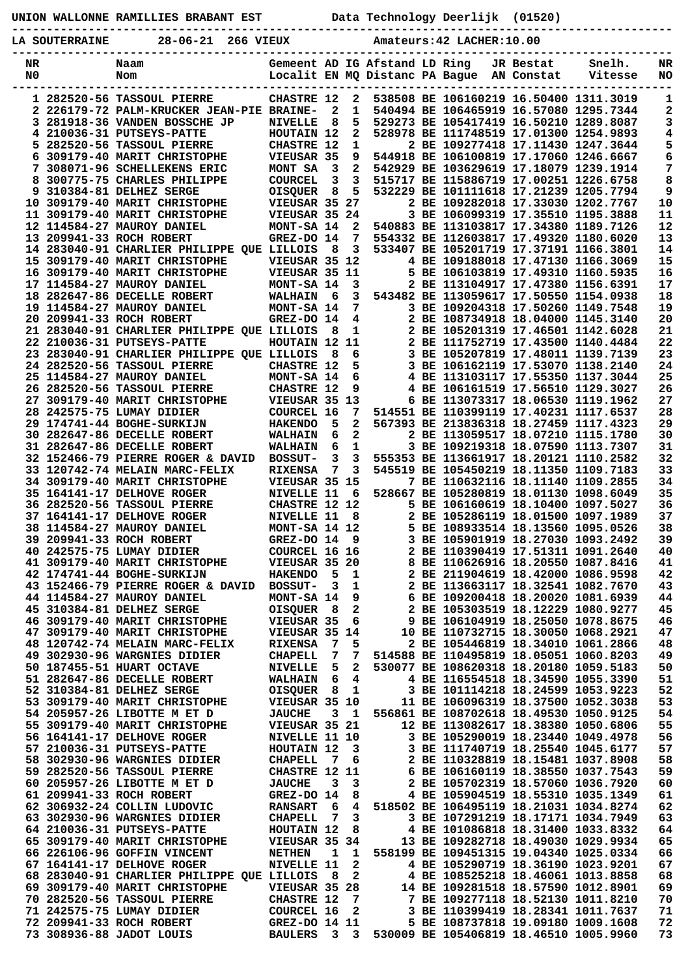**UNION WALLONNE RAMILLIES BRABANT EST Data Technology Deerlijk (01520)**

**----------------------------------------------------------------------------------------------- LA SOUTERRAINE 28-06-21 266 VIEUX Amateurs:42 LACHER:10.00**

| NR | Naam                                          |                                      |                |                         | Gemeent AD IG Afstand LD Ring  |                                                                        | JR Bestat  | Snelh.  | NR |
|----|-----------------------------------------------|--------------------------------------|----------------|-------------------------|--------------------------------|------------------------------------------------------------------------|------------|---------|----|
| N0 | Nom                                           |                                      |                |                         | Localit EN MQ Distanc PA Bague |                                                                        | AN Constat | Vitesse | NO |
|    |                                               |                                      |                |                         |                                |                                                                        |            |         |    |
|    | 1 282520-56 TASSOUL PIERRE                    | <b>CHASTRE 12</b>                    |                | 2                       |                                | 538508 BE 106160219 16.50400 1311.3019                                 |            |         | 1  |
|    | 2 226179-72 PALM-KRUCKER JEAN-PIE BRAINE-     |                                      | 2              | 1                       |                                | 540494 BE 106465919 16.57080 1295.7344                                 |            |         | 2  |
|    | <b>3 281918-36 VANDEN BOSSCHE JP</b>          | <b>NIVELLE</b>                       | 8              | 5                       |                                | 529273 BE 105417419 16.50210 1289.8087                                 |            |         | 3  |
|    | 4 210036-31 PUTSEYS-PATTE                     | HOUTAIN 12                           |                | 2                       |                                | 528978 BE 111748519 17.01300 1254.9893                                 |            |         | 4  |
|    | 5 282520-56 TASSOUL PIERRE                    | <b>CHASTRE 12</b>                    |                | 1                       |                                | 2 BE 109277418 17.11430 1247.3644                                      |            |         | 5  |
| 6. | 309179-40 MARIT CHRISTOPHE                    | VIEUSAR 35                           |                | 9                       |                                | 544918 BE 106100819 17.17060 1246.6667                                 |            |         | 6  |
| 7  | 308071-96 SCHELLEKENS ERIC                    | MONT SA                              | 3              | 2                       |                                | 542929 BE 103629619 17.18079 1239.1914                                 |            |         | 7  |
| 8  | 300775-75 CHARLES PHILIPPE                    | <b>COURCEL</b>                       | 3              | 3                       |                                | 515717 BE 115886719 17.00251 1226.6758                                 |            |         | 8  |
|    | 9 310384-81 DELHEZ SERGE                      | <b>OISQUER</b>                       | 8              | 5                       |                                | 532229 BE 101111618 17.21239 1205.7794                                 |            |         | 9  |
|    | 10 309179-40 MARIT CHRISTOPHE                 | VIEUSAR 35 27                        |                |                         |                                | 2 BE 109282018 17.33030 1202.7767                                      |            |         | 10 |
|    | 11 309179-40 MARIT CHRISTOPHE                 | VIEUSAR 35 24                        |                |                         |                                | 3 BE 106099319 17.35510 1195.3888                                      |            |         | 11 |
|    | 12 114584-27 MAUROY DANIEL                    | MONT-SA 14                           |                | 2                       |                                | 540883 BE 113103817 17.34380 1189.7126                                 |            |         | 12 |
|    | 13 209941-33 ROCH ROBERT                      | GREZ-DO 14                           |                | 7                       |                                | 554332 BE 112603817 17.49320 1180.6020                                 |            |         | 13 |
|    | 14 283040-91 CHARLIER PHILIPPE QUE LILLOIS    |                                      | - 8            | 3                       |                                | 533407 BE 105201719 17.37191 1166.3801                                 |            |         | 14 |
|    | 15 309179-40 MARIT CHRISTOPHE                 | VIEUSAR 35 12                        |                |                         |                                | 4 BE 109188018 17.47130 1166.3069                                      |            |         | 15 |
|    | 16 309179-40 MARIT CHRISTOPHE                 | VIEUSAR 35 11                        |                |                         |                                | 5 BE 106103819 17.49310 1160.5935                                      |            |         | 16 |
|    | 17 114584-27 MAUROY DANIEL                    | MONT-SA 14                           |                | 3                       |                                | 2 BE 113104917 17.47380 1156.6391                                      |            |         | 17 |
|    | 18 282647-86 DECELLE ROBERT                   | <b>WALHAIN</b>                       | -6             | 3                       |                                | 543482 BE 113059617 17.50550 1154.0938                                 |            |         | 18 |
|    | 19 114584-27 MAUROY DANIEL                    | MONT-SA 14                           |                | 7                       |                                | 3 BE 109204318 17.50260 1149.7548                                      |            |         | 19 |
|    | 20 209941-33 ROCH ROBERT                      | GREZ-DO 14                           |                | 4                       |                                | 2 BE 108734918 18.04000 1145.3140                                      |            |         | 20 |
|    | 21 283040-91 CHARLIER PHILIPPE QUE LILLOIS    |                                      | 8              | 1                       |                                | 2 BE 105201319 17.46501 1142.6028                                      |            |         | 21 |
|    | 22 210036-31 PUTSEYS-PATTE                    | HOUTAIN 12 11                        |                |                         |                                | 2 BE 111752719 17.43500 1140.4484                                      |            |         | 22 |
|    | 23 283040-91 CHARLIER PHILIPPE OUE LILLOIS    |                                      | 8              | 6                       |                                | 3 BE 105207819 17.48011 1139.7139                                      |            |         | 23 |
|    |                                               | CHASTRE 12                           |                |                         |                                | 3 BE 106162119 17.53070 1138.2140                                      |            |         | 24 |
|    | 24 282520-56 TASSOUL PIERRE                   |                                      |                | 5                       |                                |                                                                        |            |         |    |
|    | 25 114584-27 MAUROY DANIEL                    | MONT-SA 14                           |                | 6                       |                                | 4 BE 113103117 17.55350 1137.3044                                      |            |         | 25 |
|    | 26 282520-56 TASSOUL PIERRE                   | <b>CHASTRE 12</b>                    |                | 9                       |                                | 4 BE 106161519 17.56510 1129.3027                                      |            |         | 26 |
|    | 27 309179-40 MARIT CHRISTOPHE                 | VIEUSAR 35 13                        |                |                         |                                | 6 BE 113073317 18.06530 1119.1962                                      |            |         | 27 |
|    | 28 242575-75 LUMAY DIDIER                     | COURCEL 16                           |                | 7                       |                                | 514551 BE 110399119 17.40231 1117.6537                                 |            |         | 28 |
|    | 29 174741-44 BOGHE-SURKIJN                    | <b>HAKENDO</b>                       | 5              | $\mathbf{2}$            |                                | 567393 BE 213836318 18.27459 1117.4323                                 |            |         | 29 |
|    | 30 282647-86 DECELLE ROBERT                   | <b>WALHAIN</b>                       | 6              | 2                       |                                | 2 BE 113059517 18.07210 1115.1780                                      |            |         | 30 |
|    | 31 282647-86 DECELLE ROBERT                   | <b>WALHAIN</b>                       | 6              | 1                       |                                | 3 BE 109219318 18.07590 1113.7307                                      |            |         | 31 |
|    | 32 152466-79 PIERRE ROGER & DAVID             | <b>BOSSUT-</b>                       | 3              | 3                       |                                | 555353 BE 113661917 18.20121 1110.2582                                 |            |         | 32 |
|    | 33 120742-74 MELAIN MARC-FELIX                | <b>RIXENSA</b>                       | 7              | 3                       |                                | 545519 BE 105450219 18.11350 1109.7183                                 |            |         | 33 |
|    | 34 309179-40 MARIT CHRISTOPHE                 | VIEUSAR 35 15                        |                |                         |                                | 7 BE 110632116 18.11140 1109.2855                                      |            |         | 34 |
|    | 35 164141-17 DELHOVE ROGER                    | NIVELLE 11                           |                | 6                       |                                | 528667 BE 105280819 18.01130 1098.6049                                 |            |         | 35 |
|    | 36 282520-56 TASSOUL PIERRE                   | CHASTRE 12 12                        |                |                         |                                | 5 BE 106160619 18.10400 1097.5027                                      |            |         | 36 |
|    | 37 164141-17 DELHOVE ROGER                    | NIVELLE 11                           |                | 8                       |                                | 2 BE 105286119 18.01500 1097.1989                                      |            |         | 37 |
|    | 38 114584-27 MAUROY DANIEL                    | MONT-SA 14 12                        |                |                         |                                | 5 BE 108933514 18.13560 1095.0526                                      |            |         | 38 |
|    | 39 209941-33 ROCH ROBERT                      | GREZ-DO 14                           |                | 9                       |                                | 3 BE 105901919 18.27030 1093.2492                                      |            |         | 39 |
|    | 40 242575-75 LUMAY DIDIER                     | COURCEL 16 16                        |                |                         |                                | 2 BE 110390419 17.51311 1091.2640                                      |            |         | 40 |
|    | 41 309179-40 MARIT CHRISTOPHE                 | VIEUSAR 35 20                        |                |                         |                                | 8 BE 110626916 18.20550 1087.8416                                      |            |         | 41 |
|    | 42 174741-44 BOGHE-SURKIJN                    | HAKENDO 5 1                          |                |                         |                                | 2 BE 211904619 18.42000 1086.9598                                      |            |         | 42 |
|    | 43 152466-79 PIERRE ROGER & DAVID BOSSUT- 3 1 |                                      |                |                         |                                | 2 BE 113663117 18.32541 1082.7670                                      |            |         | 43 |
|    | 44 114584-27 MAUROY DANIEL                    | MONT-SA 14                           |                | 9                       |                                | 6 BE 109200418 18.20020 1081.6939                                      |            |         | 44 |
|    | 45 310384-81 DELHEZ SERGE                     | OISQUER                              | - 8            | $\mathbf{2}$            |                                | 2 BE 105303519 18.12229 1080.9277                                      |            |         | 45 |
|    | 46 309179-40 MARIT CHRISTOPHE                 | VIEUSAR 35 6                         |                |                         |                                |                                                                        |            |         | 46 |
|    | 47 309179-40 MARIT CHRISTOPHE                 |                                      |                |                         |                                | 9 BE 106104919 18.25050 1078.8675                                      |            |         |    |
|    | 48 120742-74 MELAIN MARC-FELIX                | VIEUSAR 35 14                        |                |                         |                                | 10 BE 110732715 18.30050 1068.2921                                     |            |         | 47 |
|    |                                               | <b>RIXENSA</b>                       | $\overline{7}$ | 5                       |                                | 2 BE 105446819 18.34010 1061.2866                                      |            |         | 48 |
|    | 49 302930-96 WARGNIES DIDIER                  | <b>CHAPELL</b>                       | 7              | 7                       |                                | 514588 BE 110495819 18.05051 1060.8203                                 |            |         | 49 |
|    | 50 187455-51 HUART OCTAVE                     | NIVELLE 5                            |                | $\mathbf{2}$            |                                | 530077 BE 108620318 18.20180 1059.5183                                 |            |         | 50 |
|    | 51 282647-86 DECELLE ROBERT                   | WALHAIN 6 4                          |                |                         |                                | 4 BE 116554518 18.34590 1055.3390                                      |            |         | 51 |
|    | 52 310384-81 DELHEZ SERGE                     | OISQUER 8 1                          |                |                         |                                | 3 BE 101114218 18.24599 1053.9223                                      |            |         | 52 |
|    | 53 309179-40 MARIT CHRISTOPHE VIEUSAR 35 10   |                                      |                |                         |                                | 11 BE 106096319 18.37500 1052.3038                                     |            |         | 53 |
|    | 54 205957-26 LIBOTTE M ET D                   | <b>JAUCHE</b>                        |                | 3 1                     |                                | 556861 BE 108702618 18.49530 1050.9125                                 |            |         | 54 |
|    | 55 309179-40 MARIT CHRISTOPHE                 | VIEUSAR 35 21                        |                |                         |                                | 12 BE 113082617 18.38380 1050.6806                                     |            |         | 55 |
|    | 56 164141-17 DELHOVE ROGER                    | <b>NIVELLE 11 10</b>                 |                |                         |                                | 3 BE 105290019 18.23440 1049.4978                                      |            |         | 56 |
|    | 57 210036-31 PUTSEYS-PATTE                    | HOUTAIN 12                           |                | $\overline{\mathbf{3}}$ |                                | 3 BE 111740719 18.25540 1045.6177<br>2 BE 110328819 18.15481 1037.8908 |            |         | 57 |
|    | 58 302930-96 WARGNIES DIDIER                  | <b>CHAPELL</b>                       |                | 7 6                     |                                |                                                                        |            |         | 58 |
|    | 59 282520-56 TASSOUL PIERRE                   | <b>CHASTRE 12 11</b>                 |                |                         |                                | 6 BE 106160119 18.38550 1037.7543                                      |            |         | 59 |
|    | 60 205957-26 LIBOTTE M ET D                   | <b>JAUCHE</b>                        | $\mathbf{3}$   | $\overline{\mathbf{3}}$ |                                | 2 BE 105702319 18.57060 1036.7920                                      |            |         | 60 |
|    | 61 209941-33 ROCH ROBERT                      | <b>GREZ-DO 14 8</b>                  |                |                         |                                | 4 BE 105904519 18.55310 1035.1349                                      |            |         | 61 |
|    | 62 306932-24 COLLIN LUDOVIC                   | <b>RANSART 6</b>                     |                |                         |                                | 4 518502 BE 106495119 18.21031 1034.8274                               |            |         | 62 |
|    | 63 302930-96 WARGNIES DIDIER                  | <b>CHAPELL</b>                       | $\overline{7}$ | $\mathbf{3}$            |                                | 3 BE 107291219 18.17171 1034.7949                                      |            |         | 63 |
|    | 64 210036-31 PUTSEYS-PATTE                    | HOUTAIN 12 8                         |                |                         |                                | 4 BE 101086818 18.31400 1033.8332                                      |            |         | 64 |
|    | 65 309179-40 MARIT CHRISTOPHE                 | <b>VIEUSAR 35 34</b>                 |                |                         |                                | 13 BE 109282718 18.49030 1029.9934                                     |            |         | 65 |
|    | 66 226106-96 GOFFIN VINCENT                   | <b>NETHEN</b>                        |                | $1\quad 1$              |                                | 558199 BE 109451315 19.04340 1025.0334                                 |            |         | 66 |
|    | 67 164141-17 DELHOVE ROGER                    | NIVELLE 11                           |                | $\mathbf{2}$            |                                | 4 BE 105290719 18.36190 1023.9201                                      |            |         | 67 |
|    | 68 283040-91 CHARLIER PHILIPPE QUE LILLOIS    |                                      |                | 8 2                     |                                | 4 BE 108525218 18.46061 1013.8858                                      |            |         | 68 |
|    | 69 309179-40 MARIT CHRISTOPHE                 | VIEUSAR 35 28                        |                |                         |                                | 14 BE 109281518 18.57590 1012.8901                                     |            |         | 69 |
|    | 70 282520-56 TASSOUL PIERRE                   | <b>CHASTRE 12</b>                    |                | $\overline{7}$          |                                | 7 BE 109277118 18.52130 1011.8210                                      |            |         | 70 |
|    | 71 242575-75 LUMAY DIDIER                     | <b>COURCEL 16</b>                    |                | $\overline{\mathbf{2}}$ |                                | 3 BE 110399419 18.28341 1011.7637                                      |            |         | 71 |
|    |                                               |                                      |                |                         |                                |                                                                        |            |         |    |
|    | 72 209941-33 ROCH ROBERT                      | <b>GREZ-DO 14 11<br/>BAULERS 3 3</b> |                |                         |                                | 5 BE 108737818 19.09180 1009.1608                                      |            |         | 72 |
|    | 73 308936-88 JADOT LOUIS                      |                                      |                |                         |                                | 530009 BE 105406819 18.46510 1005.9960                                 |            |         | 73 |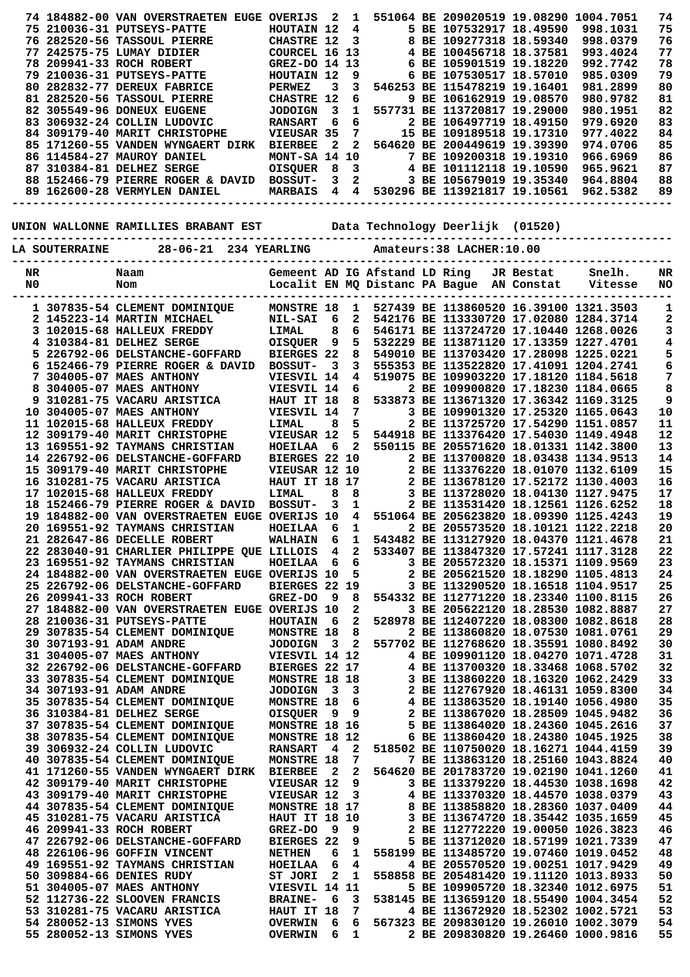|                                                                       |    |                       | 74 184882-00 VAN OVERSTRAETEN EUGE OVERIJS 2                                          |                                                      |                         | $\mathbf{1}$                |                               |  | 551064 BE 209020519 19.08290 1004.7051                                                                                                                                              |           |                                                                                                                                                                                                                   | 74       |
|-----------------------------------------------------------------------|----|-----------------------|---------------------------------------------------------------------------------------|------------------------------------------------------|-------------------------|-----------------------------|-------------------------------|--|-------------------------------------------------------------------------------------------------------------------------------------------------------------------------------------|-----------|-------------------------------------------------------------------------------------------------------------------------------------------------------------------------------------------------------------------|----------|
|                                                                       |    |                       | 75 210036-31 PUTSEYS-PATTE                                                            | HOUTAIN 12                                           |                         |                             | $\overline{4}$                |  | 5 BE 107532917 18.49590                                                                                                                                                             |           | 998.1031                                                                                                                                                                                                          | 75       |
|                                                                       |    |                       | 76 282520-56 TASSOUL PIERRE                                                           | <b>CHASTRE 12</b>                                    |                         | $\mathbf{3}$                |                               |  | 8 BE 109277318 18.59340                                                                                                                                                             |           | 998.0379                                                                                                                                                                                                          | 76       |
|                                                                       |    |                       | 77 242575-75 LUMAY DIDIER                                                             | COURCEL 16 13                                        |                         |                             |                               |  | 4 BE 100456718 18.37581                                                                                                                                                             |           | 993.4024                                                                                                                                                                                                          | 77       |
|                                                                       |    |                       | 78 209941-33 ROCH ROBERT                                                              | GREZ-DO 14 13                                        |                         |                             |                               |  | 6 BE 105901519 19.18220                                                                                                                                                             |           | 992.7742                                                                                                                                                                                                          | 78       |
|                                                                       |    |                       | 79 210036-31 PUTSEYS-PATTE                                                            | HOUTAIN 12                                           |                         |                             | 9                             |  | 6 BE 107530517 18.57010                                                                                                                                                             |           | 985.0309                                                                                                                                                                                                          | 79       |
|                                                                       |    |                       | 80 282832-77 DEREUX FABRICE                                                           | <b>PERWEZ</b>                                        | 3                       | 3                           |                               |  | 546253 BE 115478219 19.16401                                                                                                                                                        |           | 981.2899                                                                                                                                                                                                          | 80       |
|                                                                       |    |                       | 81 282520-56 TASSOUL PIERRE                                                           | <b>CHASTRE 12</b>                                    |                         | 6                           |                               |  | 9 BE 106162919 19.08570                                                                                                                                                             |           | 980.9782                                                                                                                                                                                                          | 81       |
|                                                                       |    |                       | 82 305549-96 DONEUX EUGENE                                                            | <b>JODOIGN</b>                                       | $\overline{\mathbf{3}}$ | $\mathbf{1}$                |                               |  | 557731 BE 113720817 19.29000                                                                                                                                                        |           | 980.1951                                                                                                                                                                                                          | 82       |
|                                                                       |    |                       | 83 306932-24 COLLIN LUDOVIC                                                           | <b>RANSART</b>                                       | 6                       | 6                           |                               |  | 2 BE 106497719 18.49150                                                                                                                                                             |           | 979.6920                                                                                                                                                                                                          | 83       |
|                                                                       |    |                       | 84 309179-40 MARIT CHRISTOPHE                                                         | VIEUSAR 35                                           |                         |                             | $7\overline{}$                |  | 15 BE 109189518 19.17310                                                                                                                                                            |           | 977.4022                                                                                                                                                                                                          | 84       |
|                                                                       |    |                       | 85 171260-55 VANDEN WYNGAERT DIRK                                                     | <b>BIERBEE</b>                                       | $\mathbf{2}$            |                             |                               |  | 2 564620 BE 200449619 19.39390                                                                                                                                                      |           | 974.0706                                                                                                                                                                                                          | 85       |
|                                                                       |    |                       | 86 114584-27 MAUROY DANIEL<br>87 310384-81 DELHEZ SERGE                               |                                                      |                         |                             |                               |  | 7 BE 109200318 19.19310<br>4 BE 101112118 19.10590                                                                                                                                  |           | 966.6969                                                                                                                                                                                                          | 86       |
|                                                                       |    |                       | 88 152466-79 PIERRE ROGER & DAVID BOSSUT-                                             | <b>MONT-SA 14 10<br/>OISQUER 8 3<br/>BOSSUT- 3 2</b> |                         |                             |                               |  | 3 BE 105679019 19.35340                                                                                                                                                             |           | 965.9621<br>964.8804                                                                                                                                                                                              | 87<br>88 |
|                                                                       |    |                       | 89 162600-28 VERMYLEN DANIEL                                                          |                                                      |                         |                             |                               |  | MARBAIS 4 4 530296 BE 113921817 19.10561                                                                                                                                            |           | 962.5382                                                                                                                                                                                                          | 89       |
|                                                                       |    |                       |                                                                                       |                                                      |                         |                             |                               |  |                                                                                                                                                                                     |           |                                                                                                                                                                                                                   |          |
|                                                                       |    |                       |                                                                                       |                                                      |                         |                             |                               |  |                                                                                                                                                                                     |           |                                                                                                                                                                                                                   |          |
| UNION WALLONNE RAMILLIES BRABANT EST Data Technology Deerlijk (01520) |    |                       |                                                                                       |                                                      |                         |                             |                               |  |                                                                                                                                                                                     |           |                                                                                                                                                                                                                   |          |
|                                                                       |    |                       | -------------------------                                                             |                                                      |                         |                             |                               |  |                                                                                                                                                                                     |           |                                                                                                                                                                                                                   |          |
|                                                                       |    | <b>LA SOUTERRAINE</b> | 28-06-21 234 YEARLING                                                                 |                                                      |                         |                             |                               |  | Amateurs: 38 LACHER: 10.00                                                                                                                                                          |           |                                                                                                                                                                                                                   |          |
|                                                                       |    |                       |                                                                                       |                                                      |                         |                             |                               |  |                                                                                                                                                                                     |           |                                                                                                                                                                                                                   |          |
|                                                                       | NR |                       | Naam                                                                                  |                                                      |                         |                             | Gemeent AD IG Afstand LD Ring |  |                                                                                                                                                                                     | JR Bestat | Snelh.                                                                                                                                                                                                            | NR       |
|                                                                       | N0 |                       | Nom                                                                                   |                                                      |                         |                             |                               |  | Localit EN MQ Distanc PA Bague AN Constat                                                                                                                                           |           | Vitesse                                                                                                                                                                                                           | NO       |
|                                                                       |    |                       |                                                                                       |                                                      |                         |                             |                               |  |                                                                                                                                                                                     |           |                                                                                                                                                                                                                   |          |
|                                                                       |    |                       | 1 307835-54 CLEMENT DOMINIQUE<br>2 145223-14 MARTIN MICHAEL                           | <b>MONSTRE 18</b>                                    | - 6                     | $\mathbf{1}$<br>$2^{\circ}$ |                               |  | 527439 BE 113860520 16.39100 1321.3503<br>542176 BE 113330720 17.02080 1284.3714                                                                                                    |           |                                                                                                                                                                                                                   | 1        |
|                                                                       |    |                       | 3 102015-68 HALLEUX FREDDY                                                            | <b>NIL-SAI</b><br>LIMAL                              | 8                       | 6                           |                               |  | 546171 BE 113724720 17.10440 1268.0026                                                                                                                                              |           |                                                                                                                                                                                                                   | 2<br>3   |
|                                                                       |    |                       | 4 310384-81 DELHEZ SERGE                                                              | OISQUER <sub>9</sub>                                 |                         | 5 <sub>1</sub>              |                               |  | 532229 BE 113871120 17.13359 1227.4701                                                                                                                                              |           |                                                                                                                                                                                                                   | 4        |
|                                                                       |    |                       | 5 226792-06 DELSTANCHE-GOFFARD                                                        | BIERGES 22                                           |                         | 8                           |                               |  | 549010 BE 113703420 17.28098 1225.0221                                                                                                                                              |           |                                                                                                                                                                                                                   | 5        |
|                                                                       |    |                       | 6 152466-79 PIERRE ROGER & DAVID                                                      | <b>BOSSUT-</b>                                       | - 3                     | 3                           |                               |  | 555353 BE 113522820 17.41091 1204.2741                                                                                                                                              |           |                                                                                                                                                                                                                   | 6        |
|                                                                       |    |                       | 7 304005-07 MAES ANTHONY                                                              | VIESVIL 14                                           |                         | $\overline{4}$              |                               |  | 519075 BE 109903220 17.18120 1184.5618                                                                                                                                              |           |                                                                                                                                                                                                                   | 7        |
|                                                                       |    |                       | 8 304005-07 MAES ANTHONY                                                              | VIESVIL 14                                           |                         |                             | $6 \quad \blacksquare$        |  | 2 BE 109900820 17.18230 1184.0665                                                                                                                                                   |           |                                                                                                                                                                                                                   | 8        |
|                                                                       |    |                       | 9 310281-75 VACARU ARISTICA                                                           | HAUT IT 18                                           |                         |                             |                               |  | 8 533873 BE 113671320 17.36342 1169.3125                                                                                                                                            |           |                                                                                                                                                                                                                   | 9        |
|                                                                       |    |                       | 10 304005-07 MAES ANTHONY                                                             | VIESVIL 14                                           |                         |                             | $7\degree$                    |  | 3 BE 109901320 17.25320 1165.0643                                                                                                                                                   |           |                                                                                                                                                                                                                   | 10       |
|                                                                       |    |                       | 11 102015-68 HALLEUX FREDDY                                                           | LIMAL                                                | 8                       | 5                           |                               |  | 2 BE 113725720 17.54290 1151.0857                                                                                                                                                   |           |                                                                                                                                                                                                                   | 11       |
|                                                                       |    |                       | 12 309179-40 MARIT CHRISTOPHE                                                         | VIEUSAR 12                                           |                         | 5                           |                               |  | 544918 BE 113376420 17.54030 1149.4948                                                                                                                                              |           |                                                                                                                                                                                                                   | 12       |
|                                                                       |    |                       | 13 169551-92 TAYMANS CHRISTIAN                                                        | <b>HOEILAA</b>                                       | 6                       | $2^{\circ}$                 |                               |  | 550115 BE 205571620 18.01331 1142.3800                                                                                                                                              |           |                                                                                                                                                                                                                   | 13       |
|                                                                       |    |                       | 14 226792-06 DELSTANCHE-GOFFARD                                                       | BIERGES 22 10                                        |                         |                             |                               |  | 2 BE 113700820 18.03438 1134.9513<br>2 BE 113376220 18.01070 1132.6109<br>2 BE 113678120 17.52172 1130.4003<br>3 BE 113728020 18.04130 1127.9475<br>2 - 13228020 18.04130 1127.9475 |           |                                                                                                                                                                                                                   | 14       |
|                                                                       |    |                       | 15 309179-40 MARIT CHRISTOPHE                                                         | VIEUSAR 12 10                                        |                         |                             |                               |  |                                                                                                                                                                                     |           |                                                                                                                                                                                                                   | 15       |
|                                                                       |    |                       | 16 310281-75 VACARU ARISTICA                                                          | <b>HAUT IT 18 17</b>                                 |                         |                             |                               |  |                                                                                                                                                                                     |           |                                                                                                                                                                                                                   | 16       |
|                                                                       |    |                       | 17 102015-68 HALLEUX FREDDY                                                           | LIMAL                                                | 8                       | 8                           |                               |  |                                                                                                                                                                                     |           |                                                                                                                                                                                                                   | 17       |
|                                                                       |    |                       | 18 152466-79 PIERRE ROGER & DAVID                                                     | <b>BOSSUT-</b>                                       | 3                       | 1                           |                               |  | 2 BE 113531420 18.12561 1126.6252                                                                                                                                                   |           |                                                                                                                                                                                                                   | 18       |
|                                                                       |    |                       | 19 184882-00 VAN OVERSTRAETEN EUGE OVERIJS 10                                         |                                                      |                         |                             |                               |  | 4 551064 BE 205623820 18.09390 1125.4243                                                                                                                                            |           |                                                                                                                                                                                                                   | 19       |
|                                                                       |    |                       | 20 169551-92 TAYMANS CHRISTIAN                                                        | HOEILAA                                              | 6 1                     |                             |                               |  | 2 BE 205573520 18.10121 1122.2218                                                                                                                                                   |           |                                                                                                                                                                                                                   | 20       |
|                                                                       |    |                       | 21 282647-86 DECELLE ROBERT                                                           | WALHAIN 6 1                                          |                         |                             |                               |  | 543482 BE 113127920 18.04370 1121.4678                                                                                                                                              |           |                                                                                                                                                                                                                   | 21       |
|                                                                       |    |                       | 22 283040-91 CHARLIER PHILIPPE QUE LILLOIS 4 2 533407 BE 113847320 17.57241 1117.3128 |                                                      |                         |                             |                               |  |                                                                                                                                                                                     |           |                                                                                                                                                                                                                   | 22       |
|                                                                       |    |                       | 23 169551-92 TAYMANS CHRISTIAN                                                        | HOEILAA 6                                            |                         | 6                           |                               |  | 3 BE 205572320 18.15371 1109.9569                                                                                                                                                   |           |                                                                                                                                                                                                                   | 23       |
|                                                                       |    |                       | 24 184882-00 VAN OVERSTRAETEN EUGE OVERIJS 10                                         |                                                      |                         | 5                           |                               |  | 2 BE 205621520 18.18290 1105.4813                                                                                                                                                   |           |                                                                                                                                                                                                                   | 24       |
|                                                                       |    |                       | 25 226792-06 DELSTANCHE-GOFFARD                                                       | BIERGES 22 19                                        |                         |                             |                               |  | 3 BE 113290520 18.16518 1104.9517                                                                                                                                                   |           |                                                                                                                                                                                                                   | 25       |
|                                                                       |    |                       | 26 209941-33 ROCH ROBERT<br>27 184882-00 VAN OVERSTRAETEN EUGE OVERIJS 10             | GREZ-DO                                              | - 9                     | 8<br>$\mathbf{2}$           |                               |  | 554332 BE 112771220 18.23340 1100.8115                                                                                                                                              |           |                                                                                                                                                                                                                   | 26<br>27 |
|                                                                       |    |                       | 28 210036-31 PUTSEYS-PATTE                                                            | <b>HOUTAIN</b>                                       | - 6                     | $\mathbf{2}$                |                               |  | 3 BE 205622120 18.28530 1082.8887<br>528978 BE 112407220 18.08300 1082.8618                                                                                                         |           |                                                                                                                                                                                                                   | 28       |
|                                                                       |    |                       | 29 307835-54 CLEMENT DOMINIQUE                                                        | <b>MONSTRE 18</b>                                    |                         | 8                           |                               |  | 2 BE 113860820 18.07530 1081.0761                                                                                                                                                   |           |                                                                                                                                                                                                                   | 29       |
|                                                                       |    |                       | 30 307193-91 ADAM ANDRE                                                               | <b>JODOIGN</b>                                       |                         | $3\quad 2$                  |                               |  | 557702 BE 112768620 18.35591 1080.8492                                                                                                                                              |           |                                                                                                                                                                                                                   | 30       |
|                                                                       |    |                       | 31 304005-07 MAES ANTHONY                                                             | VIESVIL 14 12                                        |                         |                             |                               |  | 4 BE 109901120 18.04270 1071.4728                                                                                                                                                   |           |                                                                                                                                                                                                                   | 31       |
|                                                                       |    |                       | 32 226792-06 DELSTANCHE-GOFFARD                                                       | <b>BIERGES 22 17</b>                                 |                         |                             |                               |  | 4 BE 113700320 18.33468 1068.5702                                                                                                                                                   |           |                                                                                                                                                                                                                   | 32       |
|                                                                       |    |                       | 33 307835-54 CLEMENT DOMINIQUE                                                        | MONSTRE 18 18                                        |                         |                             |                               |  |                                                                                                                                                                                     |           |                                                                                                                                                                                                                   | 33       |
|                                                                       |    |                       | 34 307193-91 ADAM ANDRE                                                               | <b>JODOIGN</b>                                       |                         |                             |                               |  |                                                                                                                                                                                     |           |                                                                                                                                                                                                                   | 34       |
|                                                                       |    |                       | 35 307835-54 CLEMENT DOMINIQUE                                                        | <b>MONSTRE 18</b>                                    |                         |                             |                               |  |                                                                                                                                                                                     |           |                                                                                                                                                                                                                   | 35       |
|                                                                       |    |                       | 36 310384-81 DELHEZ SERGE                                                             | OISQUER                                              |                         |                             |                               |  |                                                                                                                                                                                     |           |                                                                                                                                                                                                                   | 36       |
|                                                                       |    |                       | 37 307835-54 CLEMENT DOMINIQUE                                                        | MONSTRE 18 16                                        |                         |                             |                               |  |                                                                                                                                                                                     |           | 18 18<br>3 BE 113860220 18.16320 1062.2429<br>3 3 2 BE 112767920 18.46131 1059.8300<br>18 6 4 BE 113863520 18.19140 1056.4980<br>9 9 2 BE 113867020 18.28509 1045.9482<br>18 16 5 BE 113864020 18.24360 1045.2616 | 37       |
|                                                                       |    |                       | 38 307835-54 CLEMENT DOMINIQUE                                                        | MONSTRE 18 12                                        |                         |                             |                               |  | 6 BE 113860420 18.24380 1045.1925                                                                                                                                                   |           |                                                                                                                                                                                                                   | 38       |
|                                                                       |    |                       | 39 306932-24 COLLIN LUDOVIC                                                           | <b>RANSART</b>                                       |                         | 4 2                         |                               |  | 518502 BE 110750020 18.16271 1044.4159                                                                                                                                              |           |                                                                                                                                                                                                                   | 39       |
|                                                                       |    |                       | 40 307835-54 CLEMENT DOMINIQUE                                                        | <b>MONSTRE 18</b>                                    |                         | 7                           |                               |  | 7 BE 113863120 18.25160 1043.8824                                                                                                                                                   |           |                                                                                                                                                                                                                   | 40       |
|                                                                       |    |                       | 41 171260-55 VANDEN WYNGAERT DIRK                                                     | <b>BIERBEE</b>                                       | $\overline{\mathbf{2}}$ | $\mathbf{2}$                |                               |  | 564620 BE 201783720 19.02190 1041.1260                                                                                                                                              |           |                                                                                                                                                                                                                   | 41       |
|                                                                       |    |                       | 42 309179-40 MARIT CHRISTOPHE                                                         | VIEUSAR 12                                           |                         | 9                           |                               |  | 3 BE 113379220 18.44530 1038.1698                                                                                                                                                   |           |                                                                                                                                                                                                                   | 42       |
|                                                                       |    |                       | 43 309179-40 MARIT CHRISTOPHE                                                         | VIEUSAR 12                                           |                         |                             | $\overline{\mathbf{3}}$       |  | 4 BE 113370320 18.44570 1038.0379                                                                                                                                                   |           |                                                                                                                                                                                                                   | 43       |
|                                                                       |    |                       | 44 307835-54 CLEMENT DOMINIQUE                                                        | MONSTRE 18 17                                        |                         |                             |                               |  | 8 BE 113858820 18.28360 1037.0409                                                                                                                                                   |           |                                                                                                                                                                                                                   | 44       |
|                                                                       |    |                       | 45 310281-75 VACARU ARISTICA                                                          | <b>HAUT IT 18 10</b>                                 |                         |                             |                               |  | 3 BE 113674720 18.35442 1035.1659                                                                                                                                                   |           |                                                                                                                                                                                                                   | 45       |
|                                                                       |    |                       | 46 209941-33 ROCH ROBERT                                                              | <b>GREZ-DO</b>                                       |                         | 99                          |                               |  | 2 BE 112772220 19.00050 1026.3823                                                                                                                                                   |           |                                                                                                                                                                                                                   | 46       |
|                                                                       |    |                       | 47 226792-06 DELSTANCHE-GOFFARD                                                       | <b>BIERGES 22</b>                                    |                         | 9                           |                               |  | 5 BE 113712020 18.57199 1021.7339                                                                                                                                                   |           |                                                                                                                                                                                                                   | 47       |
|                                                                       |    |                       | 48 226106-96 GOFFIN VINCENT                                                           | <b>NETHEN</b><br>HOEILAA 6                           | 6                       | 1                           |                               |  | 558199 BE 113485720 19.07460 1019.0452                                                                                                                                              |           |                                                                                                                                                                                                                   | 48       |
|                                                                       |    |                       | 49 169551-92 TAYMANS CHRISTIAN<br>50 309884-66 DENIES RUDY                            | ST JORI                                              | $\overline{\mathbf{2}}$ | 4<br>$\mathbf{1}$           |                               |  | 4 BE 205570520 19.00251 1017.9429<br>558858 BE 205481420 19.11120 1013.8933                                                                                                         |           |                                                                                                                                                                                                                   | 49<br>50 |
|                                                                       |    |                       | 51 304005-07 MAES ANTHONY                                                             | VIESVIL 14 11                                        |                         |                             |                               |  | 5 BE 109905720 18.32340 1012.6975                                                                                                                                                   |           |                                                                                                                                                                                                                   | 51       |
|                                                                       |    |                       | 52 112736-22 SLOOVEN FRANCIS                                                          | <b>BRAINE-</b>                                       | 6                       | $\overline{\mathbf{3}}$     |                               |  | 538145 BE 113659120 18.55490 1004.3454                                                                                                                                              |           |                                                                                                                                                                                                                   | 52       |
|                                                                       |    |                       | 53 310281-75 VACARU ARISTICA                                                          | <b>HAUT IT 18</b>                                    |                         | $7\overline{ }$             |                               |  | 4 BE 113672920 18.52302 1002.5721                                                                                                                                                   |           |                                                                                                                                                                                                                   | 53       |
|                                                                       |    |                       | 54 280052-13 SIMONS YVES                                                              | OVERWIN 6                                            |                         |                             |                               |  | 6 567323 BE 209830120 19.26010 1002.3079                                                                                                                                            |           |                                                                                                                                                                                                                   | 54       |
|                                                                       |    |                       | 55 280052-13 SIMONS YVES                                                              | <b>OVERWIN</b>                                       | - 6                     |                             | $\mathbf{1}$                  |  | 2 BE 209830820 19.26460 1000.9816                                                                                                                                                   |           |                                                                                                                                                                                                                   | 55       |
|                                                                       |    |                       |                                                                                       |                                                      |                         |                             |                               |  |                                                                                                                                                                                     |           |                                                                                                                                                                                                                   |          |